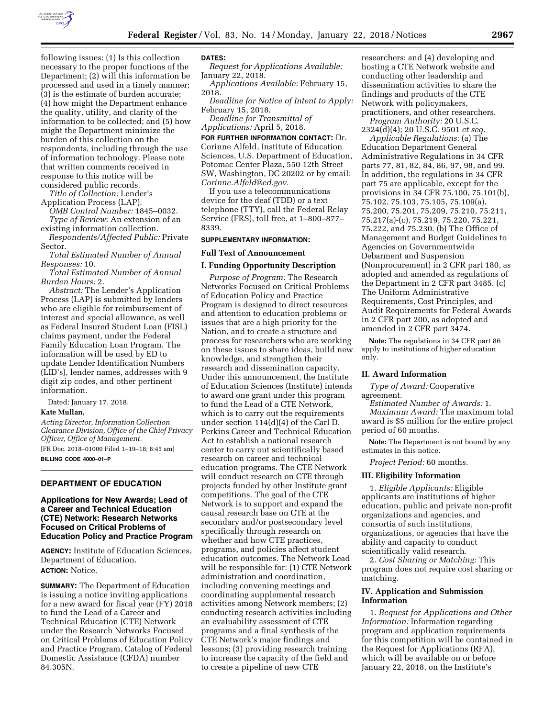

following issues: (1) Is this collection necessary to the proper functions of the Department; (2) will this information be processed and used in a timely manner; (3) is the estimate of burden accurate; (4) how might the Department enhance the quality, utility, and clarity of the information to be collected; and (5) how might the Department minimize the burden of this collection on the respondents, including through the use of information technology. Please note that written comments received in response to this notice will be considered public records.

*Title of Collection:* Lender's

Application Process (LAP).

*OMB Control Number:* 1845–0032. *Type of Review:* An extension of an

existing information collection. *Respondents/Affected Public:* Private

Sector. *Total Estimated Number of Annual* 

*Responses:* 10.

*Total Estimated Number of Annual Burden Hours:* 2.

*Abstract:* The Lender's Application Process (LAP) is submitted by lenders who are eligible for reimbursement of interest and special allowance, as well as Federal Insured Student Loan (FISL) claims payment, under the Federal Family Education Loan Program. The information will be used by ED to update Lender Identification Numbers (LID's), lender names, addresses with 9 digit zip codes, and other pertinent information.

Dated: January 17, 2018.

# **Kate Mullan,**

*Acting Director, Information Collection Clearance Division, Office of the Chief Privacy Officer, Office of Management.*  [FR Doc. 2018–01000 Filed 1–19–18; 8:45 am]

**BILLING CODE 4000–01–P** 

# **DEPARTMENT OF EDUCATION**

# **Applications for New Awards; Lead of a Career and Technical Education (CTE) Network: Research Networks Focused on Critical Problems of Education Policy and Practice Program**

**AGENCY:** Institute of Education Sciences, Department of Education. **ACTION:** Notice.

**SUMMARY:** The Department of Education is issuing a notice inviting applications for a new award for fiscal year (FY) 2018 to fund the Lead of a Career and Technical Education (CTE) Network under the Research Networks Focused on Critical Problems of Education Policy and Practice Program, Catalog of Federal Domestic Assistance (CFDA) number 84.305N.

## **DATES:**

*Request for Applications Available:*  January 22, 2018.

*Applications Available:* February 15, 2018.

*Deadline for Notice of Intent to Apply:*  February 15, 2018.

*Deadline for Transmittal of Applications:* April 5, 2018.

**FOR FURTHER INFORMATION CONTACT:** Dr.

Corinne Alfeld, Institute of Education Sciences, U.S. Department of Education, Potomac Center Plaza, 550 12th Street SW, Washington, DC 20202 or by email: *[Corinne.Alfeld@ed.gov.](mailto:Corinne.Alfeld@ed.gov)* 

If you use a telecommunications device for the deaf (TDD) or a text telephone (TTY), call the Federal Relay Service (FRS), toll free, at 1–800–877– 8339.

#### **SUPPLEMENTARY INFORMATION:**

## **Full Text of Announcement**

## **I. Funding Opportunity Description**

*Purpose of Program:* The Research Networks Focused on Critical Problems of Education Policy and Practice Program is designed to direct resources and attention to education problems or issues that are a high priority for the Nation, and to create a structure and process for researchers who are working on these issues to share ideas, build new knowledge, and strengthen their research and dissemination capacity. Under this announcement, the Institute of Education Sciences (Institute) intends to award one grant under this program to fund the Lead of a CTE Network, which is to carry out the requirements under section 114(d)(4) of the Carl D. Perkins Career and Technical Education Act to establish a national research center to carry out scientifically based research on career and technical education programs. The CTE Network will conduct research on CTE through projects funded by other Institute grant competitions. The goal of the CTE Network is to support and expand the causal research base on CTE at the secondary and/or postsecondary level specifically through research on whether and how CTE practices, programs, and policies affect student education outcomes. The Network Lead will be responsible for: (1) CTE Network administration and coordination, including convening meetings and coordinating supplemental research activities among Network members; (2) conducting research activities including an evaluability assessment of CTE programs and a final synthesis of the CTE Network's major findings and lessons; (3) providing research training to increase the capacity of the field and to create a pipeline of new CTE

researchers; and (4) developing and hosting a CTE Network website and conducting other leadership and dissemination activities to share the findings and products of the CTE Network with policymakers, practitioners, and other researchers. *Program Authority:* 20 U.S.C.

2324(d)(4); 20 U.S.C. 9501 *et seq.* 

*Applicable Regulations:* (a) The Education Department General Administrative Regulations in 34 CFR parts 77, 81, 82, 84, 86, 97, 98, and 99. In addition, the regulations in 34 CFR part 75 are applicable, except for the provisions in 34 CFR 75.100, 75.101(b), 75.102, 75.103, 75.105, 75.109(a), 75.200, 75.201, 75.209, 75.210, 75.211, 75.217(a)-(c), 75.219, 75.220, 75.221, 75.222, and 75.230. (b) The Office of Management and Budget Guidelines to Agencies on Governmentwide Debarment and Suspension (Nonprocurement) in 2 CFR part 180, as adopted and amended as regulations of the Department in 2 CFR part 3485. (c) The Uniform Administrative Requirements, Cost Principles, and Audit Requirements for Federal Awards in 2 CFR part 200, as adopted and amended in 2 CFR part 3474.

**Note:** The regulations in 34 CFR part 86 apply to institutions of higher education only.

# **II. Award Information**

*Type of Award:* Cooperative agreement.

*Estimated Number of Awards:* 1. *Maximum Award:* The maximum total award is \$5 million for the entire project period of 60 months.

**Note:** The Department is not bound by any estimates in this notice.

*Project Period:* 60 months.

# **III. Eligibility Information**

1. *Eligible Applicants:* Eligible applicants are institutions of higher education, public and private non-profit organizations and agencies, and consortia of such institutions, organizations, or agencies that have the ability and capacity to conduct scientifically valid research.

2. *Cost Sharing or Matching:* This program does not require cost sharing or matching.

# **IV. Application and Submission Information**

1. *Request for Applications and Other Information:* Information regarding program and application requirements for this competition will be contained in the Request for Applications (RFA), which will be available on or before January 22, 2018, on the Institute's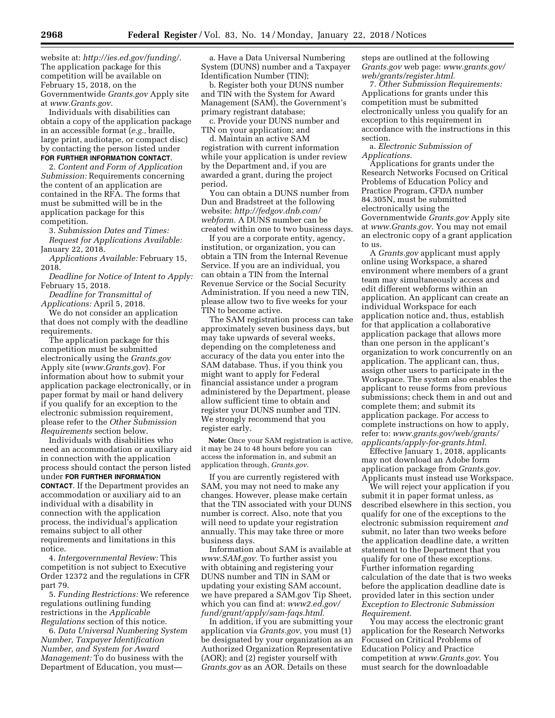website at: *[http://ies.ed.gov/funding/.](http://ies.ed.gov/funding/)*  The application package for this competition will be available on February 15, 2018, on the Governmentwide *Grants.gov* Apply site at *[www.Grants.gov](http://www.Grants.gov)*.

Individuals with disabilities can obtain a copy of the application package in an accessible format (*e.g.,* braille, large print, audiotape, or compact disc) by contacting the person listed under **FOR FURTHER INFORMATION CONTACT**.

2. *Content and Form of Application Submission:* Requirements concerning the content of an application are contained in the RFA. The forms that must be submitted will be in the application package for this competition.

3. *Submission Dates and Times: Request for Applications Available:*  January 22, 2018.

*Applications Available:* February 15, 2018.

*Deadline for Notice of Intent to Apply:*  February 15, 2018.

*Deadline for Transmittal of Applications:* April 5, 2018.

We do not consider an application that does not comply with the deadline requirements.

The application package for this competition must be submitted electronically using the *Grants.gov*  Apply site (*[www.Grants.gov](http://www.Grants.gov)*). For information about how to submit your application package electronically, or in paper format by mail or hand delivery if you qualify for an exception to the electronic submission requirement, please refer to the *Other Submission Requirements* section below.

Individuals with disabilities who need an accommodation or auxiliary aid in connection with the application process should contact the person listed under **FOR FURTHER INFORMATION CONTACT**. If the Department provides an accommodation or auxiliary aid to an individual with a disability in connection with the application process, the individual's application remains subject to all other requirements and limitations in this notice.

4. *Intergovernmental Review:* This competition is not subject to Executive Order 12372 and the regulations in CFR part 79.

5. *Funding Restrictions:* We reference regulations outlining funding restrictions in the *Applicable Regulations* section of this notice.

6. *Data Universal Numbering System Number, Taxpayer Identification Number, and System for Award Management:* To do business with the Department of Education, you must—

a. Have a Data Universal Numbering System (DUNS) number and a Taxpayer Identification Number (TIN);

b. Register both your DUNS number and TIN with the System for Award Management (SAM), the Government's primary registrant database;

c. Provide your DUNS number and TIN on your application; and

d. Maintain an active SAM registration with current information while your application is under review by the Department and, if you are awarded a grant, during the project period.

You can obtain a DUNS number from Dun and Bradstreet at the following website: *[http://fedgov.dnb.com/](http://fedgov.dnb.com/webform) [webform.](http://fedgov.dnb.com/webform)* A DUNS number can be created within one to two business days.

If you are a corporate entity, agency, institution, or organization, you can obtain a TIN from the Internal Revenue Service. If you are an individual, you can obtain a TIN from the Internal Revenue Service or the Social Security Administration. If you need a new TIN, please allow two to five weeks for your TIN to become active.

The SAM registration process can take approximately seven business days, but may take upwards of several weeks, depending on the completeness and accuracy of the data you enter into the SAM database. Thus, if you think you might want to apply for Federal financial assistance under a program administered by the Department, please allow sufficient time to obtain and register your DUNS number and TIN. We strongly recommend that you register early.

**Note:** Once your SAM registration is active, it may be 24 to 48 hours before you can access the information in, and submit an application through, *Grants.gov*.

If you are currently registered with SAM, you may not need to make any changes. However, please make certain that the TIN associated with your DUNS number is correct. Also, note that you will need to update your registration annually. This may take three or more business days.

Information about SAM is available at *[www.SAM.gov.](http://www.SAM.gov)* To further assist you with obtaining and registering your DUNS number and TIN in SAM or updating your existing SAM account, we have prepared a SAM.gov Tip Sheet, which you can find at: *[www2.ed.gov/](http://www2.ed.gov/fund/grant/apply/sam-faqs.html) [fund/grant/apply/sam-faqs.html.](http://www2.ed.gov/fund/grant/apply/sam-faqs.html)* 

In addition, if you are submitting your application via *Grants.gov*, you must (1) be designated by your organization as an Authorized Organization Representative (AOR); and (2) register yourself with *Grants.gov* as an AOR. Details on these

steps are outlined at the following *Grants.gov* web page: *[www.grants.gov/](http://www.grants.gov/web/grants/register.html)  [web/grants/register.html.](http://www.grants.gov/web/grants/register.html)* 

7. *Other Submission Requirements:*  Applications for grants under this competition must be submitted electronically unless you qualify for an exception to this requirement in accordance with the instructions in this section.

a. *Electronic Submission of Applications.* 

Applications for grants under the Research Networks Focused on Critical Problems of Education Policy and Practice Program, CFDA number 84.305N, must be submitted electronically using the Governmentwide *Grants.gov* Apply site at *[www.Grants.gov](http://www.Grants.gov)*. You may not email an electronic copy of a grant application to us.

A *Grants.gov* applicant must apply online using Workspace, a shared environment where members of a grant team may simultaneously access and edit different webforms within an application. An applicant can create an individual Workspace for each application notice and, thus, establish for that application a collaborative application package that allows more than one person in the applicant's organization to work concurrently on an application. The applicant can, thus, assign other users to participate in the Workspace. The system also enables the applicant to reuse forms from previous submissions; check them in and out and complete them; and submit its application package. For access to complete instructions on how to apply, refer to: *[www.grants.gov/web/grants/](http://www.grants.gov/web/grants/applicants/apply-for-grants.html)  [applicants/apply-for-grants.html.](http://www.grants.gov/web/grants/applicants/apply-for-grants.html)* 

Effective January 1, 2018, applicants may not download an Adobe form application package from *Grants.gov*. Applicants must instead use Workspace.

We will reject your application if you submit it in paper format unless, as described elsewhere in this section, you qualify for one of the exceptions to the electronic submission requirement *and*  submit, no later than two weeks before the application deadline date, a written statement to the Department that you qualify for one of these exceptions. Further information regarding calculation of the date that is two weeks before the application deadline date is provided later in this section under *Exception to Electronic Submission Requirement.* 

You may access the electronic grant application for the Research Networks Focused on Critical Problems of Education Policy and Practice competition at *[www.Grants.gov](http://www.Grants.gov)*. You must search for the downloadable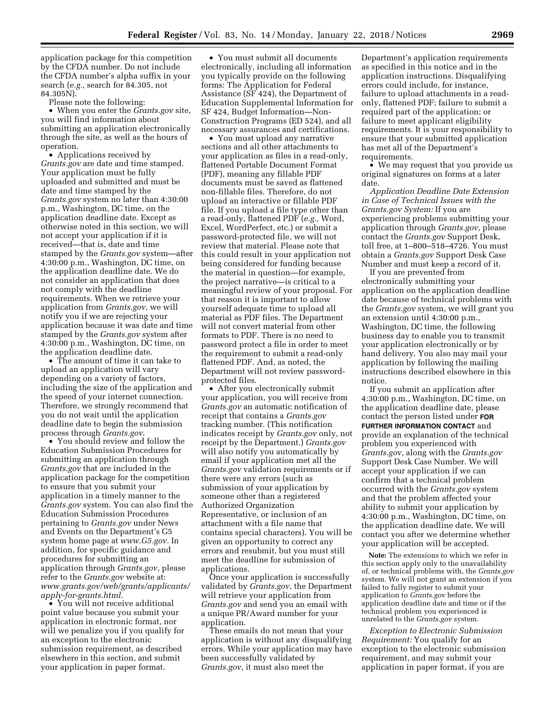application package for this competition by the CFDA number. Do not include the CFDA number's alpha suffix in your search (*e.g.,* search for 84.305, not 84.305N).

Please note the following:

• When you enter the *Grants.gov* site, you will find information about submitting an application electronically through the site, as well as the hours of operation.

• Applications received by *Grants.gov* are date and time stamped. Your application must be fully uploaded and submitted and must be date and time stamped by the *Grants.gov* system no later than 4:30:00 p.m., Washington, DC time, on the application deadline date. Except as otherwise noted in this section, we will not accept your application if it is received—that is, date and time stamped by the *Grants.gov* system—after 4:30:00 p.m., Washington, DC time, on the application deadline date. We do not consider an application that does not comply with the deadline requirements. When we retrieve your application from *Grants.gov*, we will notify you if we are rejecting your application because it was date and time stamped by the *Grants.gov* system after 4:30:00 p.m., Washington, DC time, on the application deadline date.

• The amount of time it can take to upload an application will vary depending on a variety of factors, including the size of the application and the speed of your internet connection. Therefore, we strongly recommend that you do not wait until the application deadline date to begin the submission process through *Grants.gov*.

• You should review and follow the Education Submission Procedures for submitting an application through *Grants.gov* that are included in the application package for the competition to ensure that you submit your application in a timely manner to the *Grants.gov* system. You can also find the Education Submission Procedures pertaining to *Grants.gov* under News and Events on the Department's G5 system home page at *[www.G5.gov.](http://www.G5.gov)* In addition, for specific guidance and procedures for submitting an application through *Grants.gov*, please refer to the *Grants.gov* website at: *[www.grants.gov/web/grants/applicants/](http://www.grants.gov/web/grants/applicants/apply-for-grants.html)  [apply-for-grants.html.](http://www.grants.gov/web/grants/applicants/apply-for-grants.html)* 

• You will not receive additional point value because you submit your application in electronic format, nor will we penalize you if you qualify for an exception to the electronic submission requirement, as described elsewhere in this section, and submit your application in paper format.

• You must submit all documents electronically, including all information you typically provide on the following forms: The Application for Federal Assistance (SF 424), the Department of Education Supplemental Information for SF 424, Budget Information—Non-Construction Programs (ED 524), and all necessary assurances and certifications.

• You must upload any narrative sections and all other attachments to your application as files in a read-only, flattened Portable Document Format (PDF), meaning any fillable PDF documents must be saved as flattened non-fillable files. Therefore, do not upload an interactive or fillable PDF file. If you upload a file type other than a read-only, flattened PDF (*e.g.,* Word, Excel, WordPerfect, etc.) or submit a password-protected file, we will not review that material. Please note that this could result in your application not being considered for funding because the material in question—for example, the project narrative—is critical to a meaningful review of your proposal. For that reason it is important to allow yourself adequate time to upload all material as PDF files. The Department will not convert material from other formats to PDF. There is no need to password protect a file in order to meet the requirement to submit a read-only flattened PDF. And, as noted, the Department will not review passwordprotected files.

• After you electronically submit your application, you will receive from *Grants.gov* an automatic notification of receipt that contains a *Grants.gov*  tracking number. (This notification indicates receipt by *Grants.gov* only, not receipt by the Department.) *Grants.gov*  will also notify you automatically by email if your application met all the *Grants.gov* validation requirements or if there were any errors (such as submission of your application by someone other than a registered Authorized Organization Representative, or inclusion of an attachment with a file name that contains special characters). You will be given an opportunity to correct any errors and resubmit, but you must still meet the deadline for submission of applications.

Once your application is successfully validated by *Grants.gov*, the Department will retrieve your application from *Grants.gov* and send you an email with a unique PR/Award number for your application.

These emails do not mean that your application is without any disqualifying errors. While your application may have been successfully validated by *Grants.gov*, it must also meet the

Department's application requirements as specified in this notice and in the application instructions. Disqualifying errors could include, for instance, failure to upload attachments in a readonly, flattened PDF; failure to submit a required part of the application; or failure to meet applicant eligibility requirements. It is your responsibility to ensure that your submitted application has met all of the Department's requirements.

• We may request that you provide us original signatures on forms at a later date.

*Application Deadline Date Extension in Case of Technical Issues with the Grants.gov System:* If you are experiencing problems submitting your application through *Grants.gov*, please contact the *Grants.gov* Support Desk, toll free, at 1–800–518–4726. You must obtain a *Grants.gov* Support Desk Case Number and must keep a record of it.

If you are prevented from electronically submitting your application on the application deadline date because of technical problems with the *Grants.gov* system, we will grant you an extension until 4:30:00 p.m., Washington, DC time, the following business day to enable you to transmit your application electronically or by hand delivery. You also may mail your application by following the mailing instructions described elsewhere in this notice.

If you submit an application after 4:30:00 p.m., Washington, DC time, on the application deadline date, please contact the person listed under **FOR FURTHER INFORMATION CONTACT** and provide an explanation of the technical problem you experienced with *Grants.gov*, along with the *Grants.gov*  Support Desk Case Number. We will accept your application if we can confirm that a technical problem occurred with the *Grants.gov* system and that the problem affected your ability to submit your application by 4:30:00 p.m., Washington, DC time, on the application deadline date. We will contact you after we determine whether your application will be accepted.

**Note:** The extensions to which we refer in this section apply only to the unavailability of, or technical problems with, the *Grants.gov*  system. We will not grant an extension if you failed to fully register to submit your application to *Grants.gov* before the application deadline date and time or if the technical problem you experienced is unrelated to the *Grants.gov* system.

*Exception to Electronic Submission Requirement:* You qualify for an exception to the electronic submission requirement, and may submit your application in paper format, if you are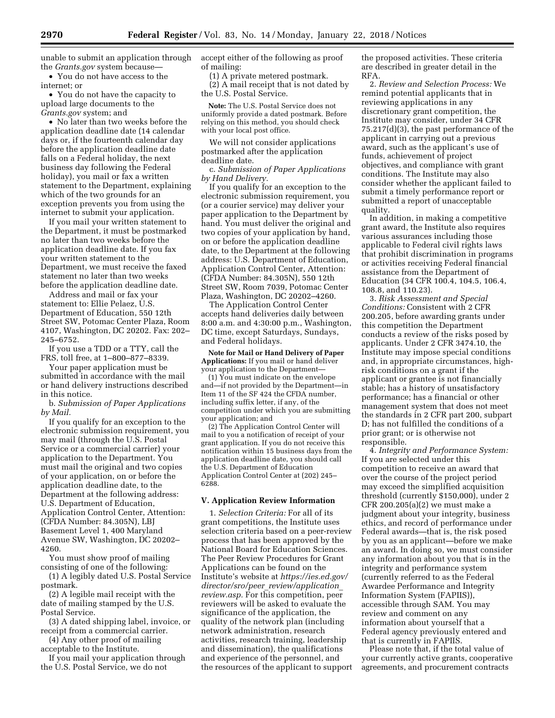unable to submit an application through the *Grants.gov* system because—

• You do not have access to the internet; or

• You do not have the capacity to upload large documents to the *Grants.gov* system; and

• No later than two weeks before the application deadline date (14 calendar days or, if the fourteenth calendar day before the application deadline date falls on a Federal holiday, the next business day following the Federal holiday), you mail or fax a written statement to the Department, explaining which of the two grounds for an exception prevents you from using the internet to submit your application.

If you mail your written statement to the Department, it must be postmarked no later than two weeks before the application deadline date. If you fax your written statement to the Department, we must receive the faxed statement no later than two weeks before the application deadline date.

Address and mail or fax your statement to: Ellie Pelaez, U.S. Department of Education, 550 12th Street SW, Potomac Center Plaza, Room 4107, Washington, DC 20202. Fax: 202– 245–6752.

If you use a TDD or a TTY, call the FRS, toll free, at 1–800–877–8339.

Your paper application must be submitted in accordance with the mail or hand delivery instructions described in this notice.

b. *Submission of Paper Applications by Mail.* 

If you qualify for an exception to the electronic submission requirement, you may mail (through the U.S. Postal Service or a commercial carrier) your application to the Department. You must mail the original and two copies of your application, on or before the application deadline date, to the Department at the following address: U.S. Department of Education, Application Control Center, Attention: (CFDA Number: 84.305N), LBJ Basement Level 1, 400 Maryland Avenue SW, Washington, DC 20202– 4260.

You must show proof of mailing consisting of one of the following:

(1) A legibly dated U.S. Postal Service postmark.

(2) A legible mail receipt with the date of mailing stamped by the U.S. Postal Service.

(3) A dated shipping label, invoice, or receipt from a commercial carrier.

(4) Any other proof of mailing acceptable to the Institute.

If you mail your application through the U.S. Postal Service, we do not

accept either of the following as proof of mailing:

(1) A private metered postmark.

(2) A mail receipt that is not dated by the U.S. Postal Service.

**Note:** The U.S. Postal Service does not uniformly provide a dated postmark. Before relying on this method, you should check with your local post office.

We will not consider applications postmarked after the application deadline date.

c. *Submission of Paper Applications by Hand Delivery.* 

If you qualify for an exception to the electronic submission requirement, you (or a courier service) may deliver your paper application to the Department by hand. You must deliver the original and two copies of your application by hand, on or before the application deadline date, to the Department at the following address: U.S. Department of Education, Application Control Center, Attention: (CFDA Number: 84.305N), 550 12th Street SW, Room 7039, Potomac Center Plaza, Washington, DC 20202–4260.

The Application Control Center accepts hand deliveries daily between 8:00 a.m. and 4:30:00 p.m., Washington, DC time, except Saturdays, Sundays, and Federal holidays.

**Note for Mail or Hand Delivery of Paper Applications:** If you mail or hand deliver your application to the Department—

(1) You must indicate on the envelope and—if not provided by the Department—in Item 11 of the SF 424 the CFDA number, including suffix letter, if any, of the competition under which you are submitting your application; and

(2) The Application Control Center will mail to you a notification of receipt of your grant application. If you do not receive this notification within 15 business days from the application deadline date, you should call the U.S. Department of Education Application Control Center at (202) 245– 6288.

# **V. Application Review Information**

1. *Selection Criteria:* For all of its grant competitions, the Institute uses selection criteria based on a peer-review process that has been approved by the National Board for Education Sciences. The Peer Review Procedures for Grant Applications can be found on the Institute's website at *[https://ies.ed.gov/](https://ies.ed.gov/director/sro/peer_review/application_review.asp)  director/sro/peer*\_*[review/application](https://ies.ed.gov/director/sro/peer_review/application_review.asp)*\_ *[review.asp.](https://ies.ed.gov/director/sro/peer_review/application_review.asp)* For this competition, peer reviewers will be asked to evaluate the significance of the application, the quality of the network plan (including network administration, research activities, research training, leadership and dissemination), the qualifications and experience of the personnel, and the resources of the applicant to support the proposed activities. These criteria are described in greater detail in the RFA.

2. *Review and Selection Process:* We remind potential applicants that in reviewing applications in any discretionary grant competition, the Institute may consider, under 34 CFR 75.217(d)(3), the past performance of the applicant in carrying out a previous award, such as the applicant's use of funds, achievement of project objectives, and compliance with grant conditions. The Institute may also consider whether the applicant failed to submit a timely performance report or submitted a report of unacceptable quality.

In addition, in making a competitive grant award, the Institute also requires various assurances including those applicable to Federal civil rights laws that prohibit discrimination in programs or activities receiving Federal financial assistance from the Department of Education (34 CFR 100.4, 104.5, 106.4, 108.8, and 110.23).

3. *Risk Assessment and Special Conditions:* Consistent with 2 CFR 200.205, before awarding grants under this competition the Department conducts a review of the risks posed by applicants. Under 2 CFR 3474.10, the Institute may impose special conditions and, in appropriate circumstances, highrisk conditions on a grant if the applicant or grantee is not financially stable; has a history of unsatisfactory performance; has a financial or other management system that does not meet the standards in 2 CFR part 200, subpart D; has not fulfilled the conditions of a prior grant; or is otherwise not responsible.

4. *Integrity and Performance System:*  If you are selected under this competition to receive an award that over the course of the project period may exceed the simplified acquisition threshold (currently \$150,000), under 2 CFR 200.205(a)(2) we must make a judgment about your integrity, business ethics, and record of performance under Federal awards—that is, the risk posed by you as an applicant—before we make an award. In doing so, we must consider any information about you that is in the integrity and performance system (currently referred to as the Federal Awardee Performance and Integrity Information System (FAPIIS)), accessible through SAM. You may review and comment on any information about yourself that a Federal agency previously entered and that is currently in FAPIIS.

Please note that, if the total value of your currently active grants, cooperative agreements, and procurement contracts